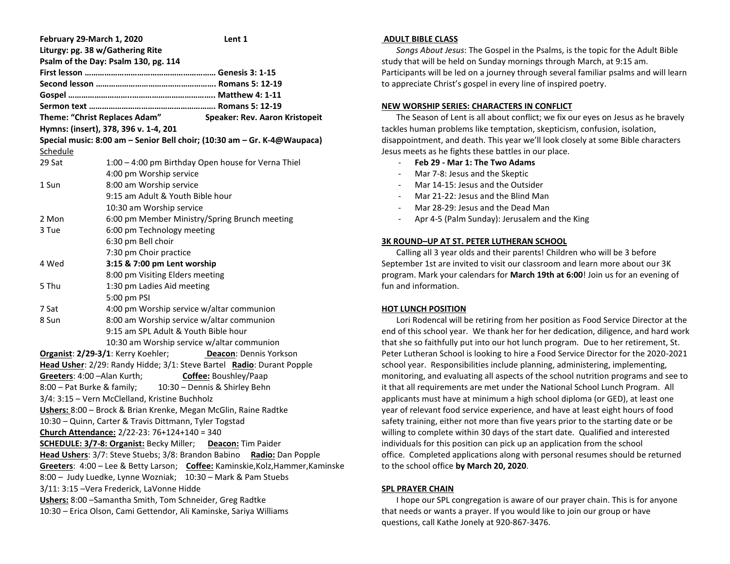| February 29-March 1, 2020                                                      | Lent 1                                                                   |  |  |  |
|--------------------------------------------------------------------------------|--------------------------------------------------------------------------|--|--|--|
|                                                                                | Liturgy: pg. 38 w/Gathering Rite                                         |  |  |  |
|                                                                                | Psalm of the Day: Psalm 130, pg. 114                                     |  |  |  |
|                                                                                |                                                                          |  |  |  |
|                                                                                |                                                                          |  |  |  |
|                                                                                |                                                                          |  |  |  |
|                                                                                |                                                                          |  |  |  |
|                                                                                | Theme: "Christ Replaces Adam"<br>Speaker: Rev. Aaron Kristopeit          |  |  |  |
|                                                                                | Hymns: (insert), 378, 396 v. 1-4, 201                                    |  |  |  |
|                                                                                | Special music: 8:00 am - Senior Bell choir; (10:30 am - Gr. K-4@Waupaca) |  |  |  |
| <u>Schedule</u><br>29 Sat                                                      | 1:00 - 4:00 pm Birthday Open house for Verna Thiel                       |  |  |  |
|                                                                                |                                                                          |  |  |  |
|                                                                                | 4:00 pm Worship service                                                  |  |  |  |
| 1 Sun                                                                          | 8:00 am Worship service<br>9:15 am Adult & Youth Bible hour              |  |  |  |
|                                                                                |                                                                          |  |  |  |
|                                                                                | 10:30 am Worship service                                                 |  |  |  |
| 2 Mon                                                                          | 6:00 pm Member Ministry/Spring Brunch meeting                            |  |  |  |
| 3 Tue                                                                          | 6:00 pm Technology meeting                                               |  |  |  |
|                                                                                | 6:30 pm Bell choir                                                       |  |  |  |
|                                                                                | 7:30 pm Choir practice                                                   |  |  |  |
| 3:15 & 7:00 pm Lent worship<br>4 Wed                                           |                                                                          |  |  |  |
|                                                                                | 8:00 pm Visiting Elders meeting                                          |  |  |  |
| 5 Thu                                                                          | 1:30 pm Ladies Aid meeting                                               |  |  |  |
|                                                                                | 5:00 pm PSI                                                              |  |  |  |
| 7 Sat                                                                          | 4:00 pm Worship service w/altar communion                                |  |  |  |
| 8 Sun                                                                          | 8:00 am Worship service w/altar communion                                |  |  |  |
|                                                                                | 9:15 am SPL Adult & Youth Bible hour                                     |  |  |  |
|                                                                                | 10:30 am Worship service w/altar communion                               |  |  |  |
|                                                                                | Organist: 2/29-3/1: Kerry Koehler;<br>Deacon: Dennis Yorkson             |  |  |  |
|                                                                                | Head Usher: 2/29: Randy Hidde; 3/1: Steve Bartel Radio: Durant Popple    |  |  |  |
|                                                                                | Greeters: 4:00 - Alan Kurth; Coffee: Boushley/Paap                       |  |  |  |
| 8:00 – Pat Burke & family;                                                     | 10:30 - Dennis & Shirley Behn                                            |  |  |  |
|                                                                                | 3/4: 3:15 - Vern McClelland, Kristine Buchholz                           |  |  |  |
|                                                                                | Ushers: 8:00 - Brock & Brian Krenke, Megan McGlin, Raine Radtke          |  |  |  |
|                                                                                | 10:30 - Quinn, Carter & Travis Dittmann, Tyler Togstad                   |  |  |  |
|                                                                                | Church Attendance: 2/22-23: 76+124+140 = 340                             |  |  |  |
|                                                                                | <b>SCHEDULE: 3/7-8: Organist:</b> Becky Miller; Deacon: Tim Paider       |  |  |  |
|                                                                                | Head Ushers: 3/7: Steve Stuebs; 3/8: Brandon Babino Radio: Dan Popple    |  |  |  |
| Greeters: 4:00 - Lee & Betty Larson; Coffee: Kaminskie, Kolz, Hammer, Kaminske |                                                                          |  |  |  |
| 8:00 - Judy Luedke, Lynne Wozniak; 10:30 - Mark & Pam Stuebs                   |                                                                          |  |  |  |
| 3/11: 3:15 - Vera Frederick, LaVonne Hidde                                     |                                                                          |  |  |  |
| Ushers: 8:00 - Samantha Smith, Tom Schneider, Greg Radtke                      |                                                                          |  |  |  |
|                                                                                | 10:30 - Erica Olson, Cami Gettendor, Ali Kaminske, Sariya Williams       |  |  |  |

#### **ADULT BIBLE CLASS**

 *Songs About Jesus*: The Gospel in the Psalms, is the topic for the Adult Bible study that will be held on Sunday mornings through March, at 9:15 am. Participants will be led on a journey through several familiar psalms and will learn to appreciate Christ's gospel in every line of inspired poetry.

## **NEW WORSHIP SERIES: CHARACTERS IN CONFLICT**

 The Season of Lent is all about conflict; we fix our eyes on Jesus as he bravely tackles human problems like temptation, skepticism, confusion, isolation, disappointment, and death. This year we'll look closely at some Bible characters Jesus meets as he fights these battles in our place.

- **Feb 29 - Mar 1: The Two Adams**
- Mar 7-8: Jesus and the Skeptic
- Mar 14-15: Jesus and the Outsider
- Mar 21-22: Jesus and the Blind Man
- Mar 28-29: Jesus and the Dead Man
- Apr 4-5 (Palm Sunday): Jerusalem and the King

# **3K ROUND–UP AT ST. PETER LUTHERAN SCHOOL**

 Calling all 3 year olds and their parents! Children who will be 3 before September 1st are invited to visit our classroom and learn more about our 3K program. Mark your calendars for **March 19th at 6:00**! Join us for an evening of fun and information.

# **HOT LUNCH POSITION**

 Lori Rodencal will be retiring from her position as Food Service Director at the end of this school year. We thank her for her dedication, diligence, and hard work that she so faithfully put into our hot lunch program. Due to her retirement, St. Peter Lutheran School is looking to hire a Food Service Director for the 2020-2021 school year. Responsibilities include planning, administering, implementing, monitoring, and evaluating all aspects of the school nutrition programs and see to it that all requirements are met under the National School Lunch Program. All applicants must have at minimum a high school diploma (or GED), at least one year of relevant food service experience, and have at least eight hours of food safety training, either not more than five years prior to the starting date or be willing to complete within 30 days of the start date. Qualified and interested individuals for this position can pick up an application from the school office. Completed applications along with personal resumes should be returned to the school office **by March 20, 2020**.

# **SPL PRAYER CHAIN**

 I hope our SPL congregation is aware of our prayer chain. This is for anyone that needs or wants a prayer. If you would like to join our group or have questions, call Kathe Jonely at 920-867-3476.